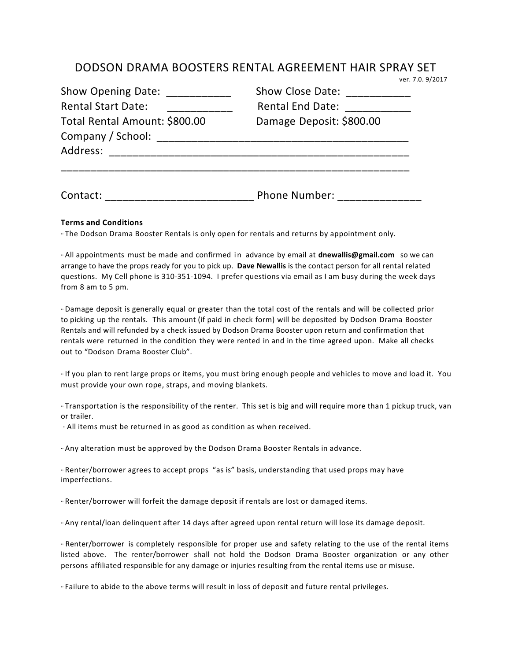## DODSON DRAMA BOOSTERS RENTAL AGREEMENT HAIR SPRAY SET<br>
ver. 7.0. 9/2017

| Show Opening Date:<br><b>Rental Start Date:</b><br>Total Rental Amount: \$800.00<br>Company / School:<br>Address: | Show Close Date:<br><b>Rental End Date:</b><br>Damage Deposit: \$800.00 |          |                      |
|-------------------------------------------------------------------------------------------------------------------|-------------------------------------------------------------------------|----------|----------------------|
|                                                                                                                   |                                                                         |          |                      |
|                                                                                                                   |                                                                         | Contact: | <b>Phone Number:</b> |

## **Terms and Conditions**

·· The Dodson Drama Booster Rentals is only open for rentals and returns by appointment only.

·· All appointments must be made and confirmed in advance by email at **dnewallis@gmail.com** so we can arrange to have the props ready for you to pick up. Dave Newallis is the contact person for all rental related questions. My Cell phone is 310-351-1094. I prefer questions via email as I am busy during the week days from 8 am to 5 pm.

·· Damage deposit is generally equal or greater than the total cost of the rentals and will be collected prior to picking up the rentals. This amount (if paid in check form) will be deposited by Dodson Drama Booster Rentals and will refunded by a check issued by Dodson Drama Booster upon return and confirmation that rentals were returned in the condition they were rented in and in the time agreed upon. Make all checks out to "Dodson Drama Booster Club".

·· If you plan to rent large props or items, you must bring enough people and vehicles to move and load it. You must provide your own rope, straps, and moving blankets.

·· Transportation is the responsibility of the renter. This set is big and will require more than 1 pickup truck, van or trailer. 

·· All items must be returned in as good as condition as when received. 

·· Any alteration must be approved by the Dodson Drama Booster Rentals in advance.

·· Renter/borrower agrees to accept props "as is" basis, understanding that used props may have imperfections.

·· Renter/borrower will forfeit the damage deposit if rentals are lost or damaged items. 

·· Any rental/loan delinquent after 14 days after agreed upon rental return will lose its damage deposit. 

·· Renter/borrower is completely responsible for proper use and safety relating to the use of the rental items listed above. The renter/borrower shall not hold the Dodson Drama Booster organization or any other persons affiliated responsible for any damage or injuries resulting from the rental items use or misuse.

·· Failure to abide to the above terms will result in loss of deposit and future rental privileges.